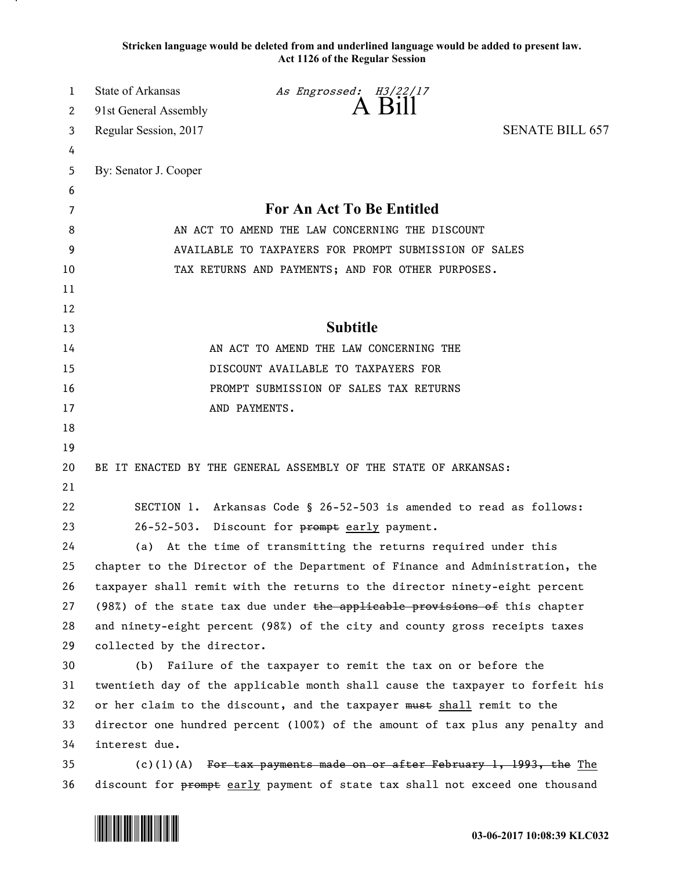**Stricken language would be deleted from and underlined language would be added to present law. Act 1126 of the Regular Session**

| 1  | <b>State of Arkansas</b>                                                      | As Engrossed: H3/22/17 |                                                                               |  |
|----|-------------------------------------------------------------------------------|------------------------|-------------------------------------------------------------------------------|--|
| 2  | 91st General Assembly                                                         |                        | A Bill                                                                        |  |
| 3  | Regular Session, 2017                                                         |                        | <b>SENATE BILL 657</b>                                                        |  |
| 4  |                                                                               |                        |                                                                               |  |
| 5  | By: Senator J. Cooper                                                         |                        |                                                                               |  |
| 6  |                                                                               |                        |                                                                               |  |
| 7  | For An Act To Be Entitled                                                     |                        |                                                                               |  |
| 8  | AN ACT TO AMEND THE LAW CONCERNING THE DISCOUNT                               |                        |                                                                               |  |
| 9  | AVAILABLE TO TAXPAYERS FOR PROMPT SUBMISSION OF SALES                         |                        |                                                                               |  |
| 10 |                                                                               |                        | TAX RETURNS AND PAYMENTS; AND FOR OTHER PURPOSES.                             |  |
| 11 |                                                                               |                        |                                                                               |  |
| 12 |                                                                               |                        |                                                                               |  |
| 13 |                                                                               | <b>Subtitle</b>        |                                                                               |  |
| 14 | AN ACT TO AMEND THE LAW CONCERNING THE                                        |                        |                                                                               |  |
| 15 | DISCOUNT AVAILABLE TO TAXPAYERS FOR                                           |                        |                                                                               |  |
| 16 | PROMPT SUBMISSION OF SALES TAX RETURNS                                        |                        |                                                                               |  |
| 17 |                                                                               | AND PAYMENTS.          |                                                                               |  |
| 18 |                                                                               |                        |                                                                               |  |
| 19 |                                                                               |                        |                                                                               |  |
| 20 | BE IT ENACTED BY THE GENERAL ASSEMBLY OF THE STATE OF ARKANSAS:               |                        |                                                                               |  |
| 21 |                                                                               |                        |                                                                               |  |
| 22 |                                                                               |                        | SECTION 1. Arkansas Code § 26-52-503 is amended to read as follows:           |  |
| 23 | 26-52-503. Discount for prompt early payment.                                 |                        |                                                                               |  |
| 24 | (a) At the time of transmitting the returns required under this               |                        |                                                                               |  |
| 25 |                                                                               |                        | chapter to the Director of the Department of Finance and Administration, the  |  |
| 26 |                                                                               |                        | taxpayer shall remit with the returns to the director ninety-eight percent    |  |
| 27 | (98%) of the state tax due under $the$ applicable provisions of this chapter  |                        |                                                                               |  |
| 28 | and ninety-eight percent (98%) of the city and county gross receipts taxes    |                        |                                                                               |  |
| 29 | collected by the director.                                                    |                        |                                                                               |  |
| 30 |                                                                               |                        | (b) Failure of the taxpayer to remit the tax on or before the                 |  |
| 31 |                                                                               |                        | twentieth day of the applicable month shall cause the taxpayer to forfeit his |  |
| 32 | or her claim to the discount, and the taxpayer must shall remit to the        |                        |                                                                               |  |
| 33 | director one hundred percent (100%) of the amount of tax plus any penalty and |                        |                                                                               |  |
| 34 | interest due.                                                                 |                        |                                                                               |  |
| 35 | $(c)(1)(A)$ For tax payments made on or after February 1, 1993, the The       |                        |                                                                               |  |
| 36 |                                                                               |                        | discount for prompt early payment of state tax shall not exceed one thousand  |  |

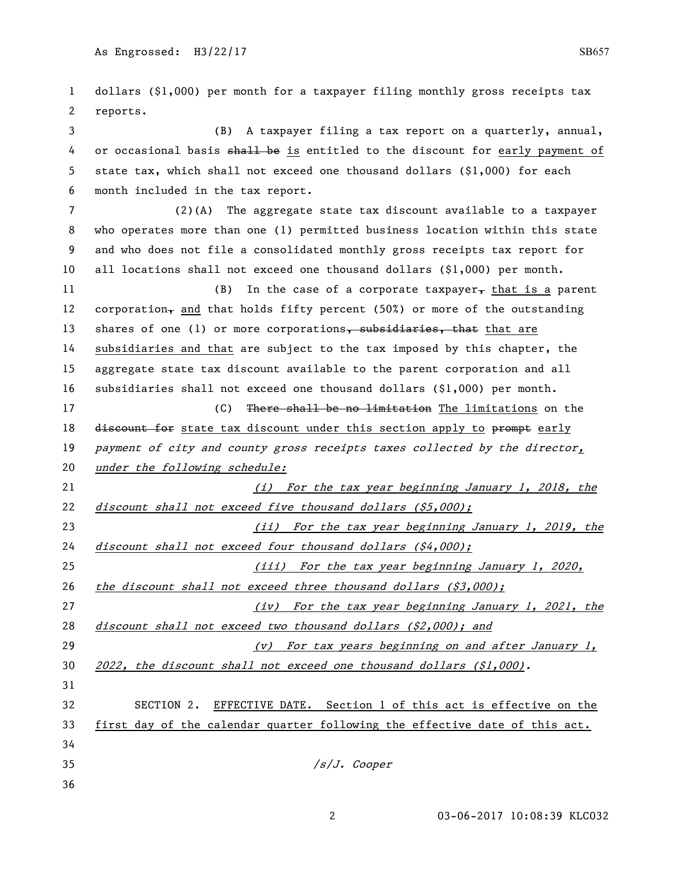dollars (\$1,000) per month for a taxpayer filing monthly gross receipts tax reports. (B) A taxpayer filing a tax report on a quarterly, annual, 4 or occasional basis shall be is entitled to the discount for early payment of state tax, which shall not exceed one thousand dollars (\$1,000) for each month included in the tax report. (2)(A) The aggregate state tax discount available to a taxpayer who operates more than one (1) permitted business location within this state and who does not file a consolidated monthly gross receipts tax report for all locations shall not exceed one thousand dollars (\$1,000) per month. 11 (B) In the case of a corporate taxpayer, that is a parent 12 corporation<sub> $\tau$ </sub> and that holds fifty percent (50%) or more of the outstanding 13 shares of one (1) or more corporations, subsidiaries, that that are subsidiaries and that are subject to the tax imposed by this chapter, the aggregate state tax discount available to the parent corporation and all subsidiaries shall not exceed one thousand dollars (\$1,000) per month. 17 (C) There shall be no limitation The limitations on the 18 discount for state tax discount under this section apply to prompt early 19 payment of city and county gross receipts taxes collected by the director, 20 under the following schedule: (i) For the tax year beginning January 1, 2018, the 22 discount shall not exceed five thousand dollars (\$5,000); (ii) For the tax year beginning January 1, 2019, the 24 discount shall not exceed four thousand dollars  $(54,000)$ ; (iii) For the tax year beginning January 1, 2020, 26 the discount shall not exceed three thousand dollars  $(53,000)$ ; (iv) For the tax year beginning January 1, 2021, the 28 discount shall not exceed two thousand dollars  $(52,000)$ ; and (v) For tax years beginning on and after January 1, 30 2022, the discount shall not exceed one thousand dollars (\$1,000). SECTION 2. EFFECTIVE DATE. Section 1 of this act is effective on the first day of the calendar quarter following the effective date of this act.  $\frac{s}{J}$ . Cooper